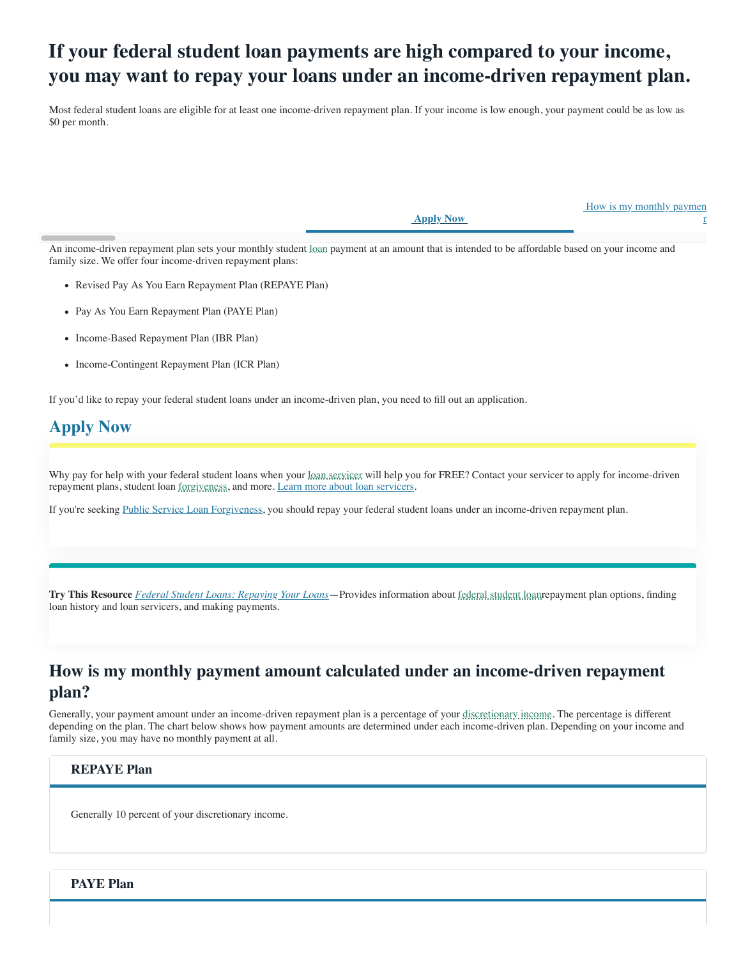# **If your federal student loan payments are high compared to your income, you may want to repay your loans under an income-driven repayment plan.**

Most federal student loans are eligible for at least one income-driven repayment plan. If your income is low enough, your payment could be as low as \$0 per month.

 **Apply Now**

How is my monthly paymen

r

An income-driven repayment plan sets your monthly student [loan](javascript:void(0)) payment at an amount that is intended to be affordable based on your income and family size. We offer four income-driven repayment plans:

- Revised Pay As You Earn Repayment Plan (REPAYE Plan)
- Pay As You Earn Repayment Plan (PAYE Plan)
- Income-Based Repayment Plan (IBR Plan)
- Income-Contingent Repayment Plan (ICR Plan)

If you'd like to repay your federal student loans under an income-driven plan, you need to fill out an application.

# **[Apply Now](https://studentaid.gov/app/ibrInstructions.action)**

Why pay for help with your federal student loans when your [loan servicer](javascript:void(0)) will help you for FREE? Contact your servicer to apply for income-driven repayment plans, student loan [forgiveness,](javascript:void(0)) and more. [Learn more about loan servicers](https://studentaid.gov/manage-loans/repayment/servicers).

If you're seeking [Public Service Loan Forgiveness,](https://studentaid.gov/manage-loans/forgiveness-cancellation/public-service) you should repay your federal student loans under an income-driven repayment plan.

**Try This Resource** *[Federal Student Loans: Repaying Your Loans](https://studentaid.gov/sites/default/files/repaying-your-loans.pdf)*—Provides information about [federal student loanr](javascript:void(0))epayment plan options, finding loan history and loan servicers, and making payments.

# **How is my monthly payment amount calculated under an income-driven repayment plan?**

Generally, your payment amount under an income-driven repayment plan is a percentage of your [discretionary income](javascript:void(0)). The percentage is different depending on the plan. The chart below shows how payment amounts are determined under each income-driven plan. Depending on your income and family size, you may have no monthly payment at all.

### **REPAYE Plan**

Generally 10 percent of your discretionary income.

### **PAYE Plan**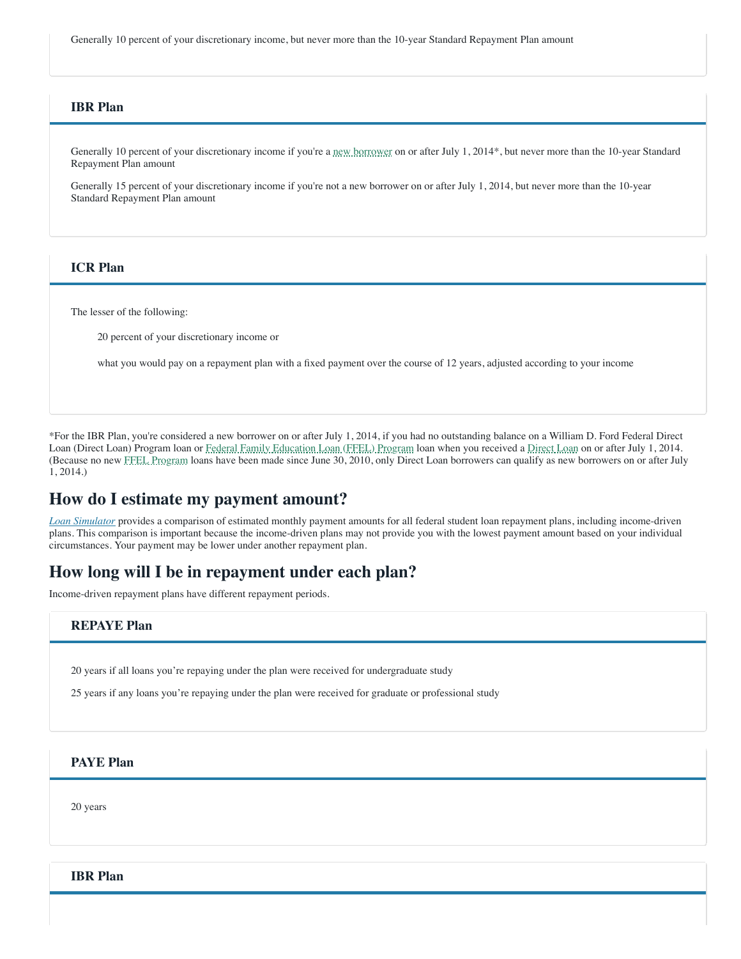Generally 10 percent of your discretionary income, but never more than the 10-year Standard Repayment Plan amount

### **IBR Plan**

Generally 10 percent of your discretionary income if you're a [new borrower](javascript:void(0)) on or after July 1, 2014\*, but never more than the 10-year Standard Repayment Plan amount

Generally 15 percent of your discretionary income if you're not a new borrower on or after July 1, 2014, but never more than the 10-year Standard Repayment Plan amount

### **ICR Plan**

The lesser of the following:

20 percent of your discretionary income or

what you would pay on a repayment plan with a fixed payment over the course of 12 years, adjusted according to your income

\*For the IBR Plan, you're considered a new borrower on or after July 1, 2014, if you had no outstanding balance on a William D. Ford Federal Direct Loan (Direct Loan) Program loan or [Federal Family Education Loan \(FFEL\) Program](javascript:void(0)) loan when you received a [Direct Loan](javascript:void(0)) on or after July 1, 2014. (Because no new [FFEL Program](javascript:void(0)) loans have been made since June 30, 2010, only Direct Loan borrowers can qualify as new borrowers on or after July 1, 2014.)

### **How do I estimate my payment amount?**

*[Loan Simulator](https://studentaid.gov/loan-simulator)* provides a comparison of estimated monthly payment amounts for all federal student loan repayment plans, including income-driven plans. This comparison is important because the income-driven plans may not provide you with the lowest payment amount based on your individual circumstances. Your payment may be lower under another repayment plan.

### **How long will I be in repayment under each plan?**

Income-driven repayment plans have different repayment periods.

### **REPAYE Plan**

20 years if all loans you're repaying under the plan were received for undergraduate study

25 years if any loans you're repaying under the plan were received for graduate or professional study

### **PAYE Plan**

20 years

**IBR Plan**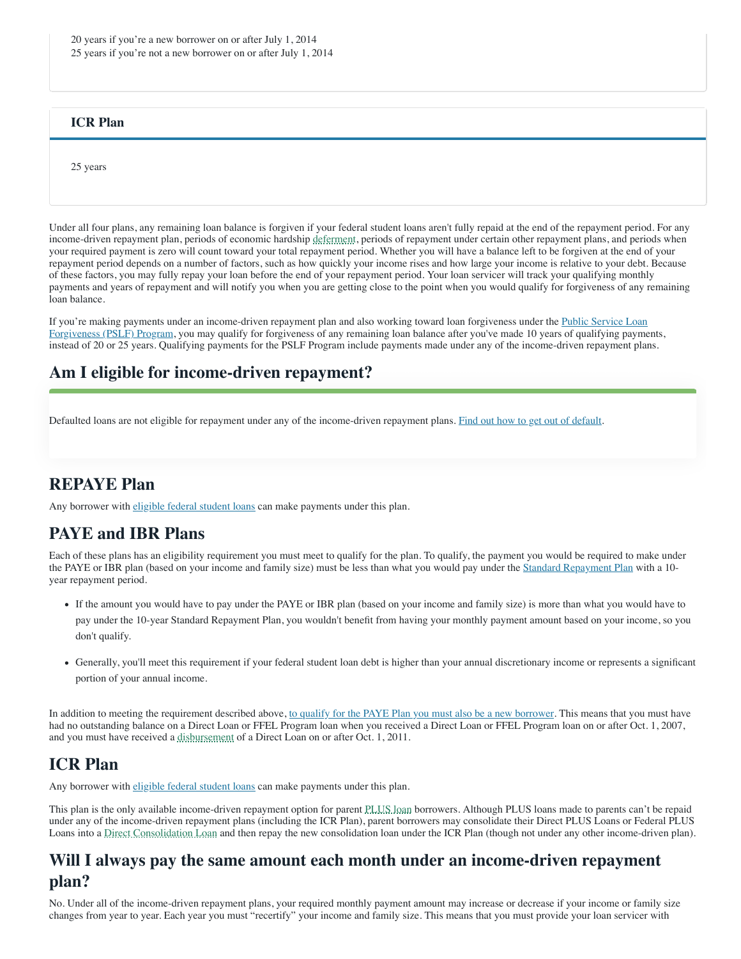### **ICR Plan**

25 years

Under all four plans, any remaining loan balance is forgiven if your federal student loans aren't fully repaid at the end of the repayment period. For any income-driven repayment plan, periods of economic hardship [deferment](javascript:void(0)), periods of repayment under certain other repayment plans, and periods when your required payment is zero will count toward your total repayment period. Whether you will have a balance left to be forgiven at the end of your repayment period depends on a number of factors, such as how quickly your income rises and how large your income is relative to your debt. Because of these factors, you may fully repay your loan before the end of your repayment period. Your loan servicer will track your qualifying monthly payments and years of repayment and will notify you when you are getting close to the point when you would qualify for forgiveness of any remaining loan balance.

If you're making payments under an income-driven repayment plan and also working toward loan forgiveness under the Public Service Loan [Forgiveness \(PSLF\) Program, you may qualify for forgiveness of any remaining loan balance after you've made 10 years of qualifying payme](https://studentaid.gov/manage-loans/forgiveness-cancellation/public-service)nts, instead of 20 or 25 years. Qualifying payments for the PSLF Program include payments made under any of the income-driven repayment plans.

## **Am I eligible for income-driven repayment?**

Defaulted loans are not eligible for repayment under any of the income-driven repayment plans. [Find out how to get out of default](https://studentaid.gov/manage-loans/default/get-out).

## **REPAYE Plan**

Any borrower with [eligible federal student loans](https://studentaid.gov/manage-loans/repayment/plans/income-driven#eligible-loans) can make payments under this plan.

# **PAYE and IBR Plans**

Each of these plans has an eligibility requirement you must meet to qualify for the plan. To qualify, the payment you would be required to make under the PAYE or IBR plan (based on your income and family size) must be less than what you would pay under the [Standard Repayment Plan](https://studentaid.gov/manage-loans/repayment/plans/standard) with a 10year repayment period.

- If the amount you would have to pay under the PAYE or IBR plan (based on your income and family size) is more than what you would have to pay under the 10-year Standard Repayment Plan, you wouldn't benefit from having your monthly payment amount based on your income, so you don't qualify.
- Generally, you'll meet this requirement if your federal student loan debt is higher than your annual discretionary income or represents a significant portion of your annual income.

In addition to meeting the requirement described above, [to qualify for the PAYE Plan you must also be a new borrower.](https://studentaid.gov/manage-loans/repayment/plans/income-driven/questions#paye-eligibility) This means that you must have had no outstanding balance on a Direct Loan or FFEL Program loan when you received a Direct Loan or FFEL Program loan on or after Oct. 1, 2007, and you must have received a [disbursement](javascript:void(0)) of a Direct Loan on or after Oct. 1, 2011.

# **ICR Plan**

Any borrower with [eligible federal student loans](https://studentaid.gov/#eligible-loans) can make payments under this plan.

This plan is the only available income-driven repayment option for parent [PLUS loan](javascript:void(0)) borrowers. Although PLUS loans made to parents can't be repaid under any of the income-driven repayment plans (including the ICR Plan), parent borrowers may consolidate their Direct PLUS Loans or Federal PLUS Loans into a [Direct Consolidation Loan](javascript:void(0)) and then repay the new consolidation loan under the ICR Plan (though not under any other income-driven plan).

# **Will I always pay the same amount each month under an income-driven repayment plan?**

No. Under all of the income-driven repayment plans, your required monthly payment amount may increase or decrease if your income or family size changes from year to year. Each year you must "recertify" your income and family size. This means that you must provide your loan servicer with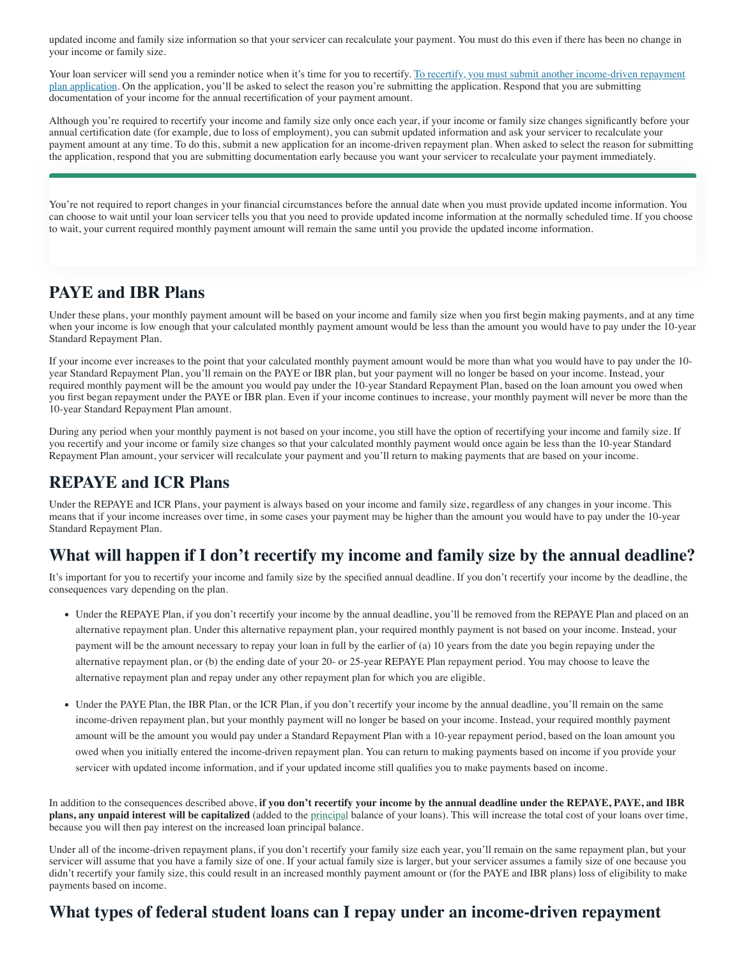updated income and family size information so that your servicer can recalculate your payment. You must do this even if there has been no change in your income or family size.

Your loan servicer will send you a reminder notice when it's time for you to recertify. To recertify, you must submit another income-driven repayment [plan application. On the application, you'll be asked to select the reason you're submitting the application. Respond that you are submitting](https://studentaid.gov/app/ibrInstructions.action) documentation of your income for the annual recertification of your payment amount.

Although you're required to recertify your income and family size only once each year, if your income or family size changes significantly before your annual certification date (for example, due to loss of employment), you can submit updated information and ask your servicer to recalculate your payment amount at any time. To do this, submit a new application for an income-driven repayment plan. When asked to select the reason for submitting the application, respond that you are submitting documentation early because you want your servicer to recalculate your payment immediately.

You're not required to report changes in your financial circumstances before the annual date when you must provide updated income information. You can choose to wait until your loan servicer tells you that you need to provide updated income information at the normally scheduled time. If you choose to wait, your current required monthly payment amount will remain the same until you provide the updated income information.

# **PAYE and IBR Plans**

Under these plans, your monthly payment amount will be based on your income and family size when you first begin making payments, and at any time when your income is low enough that your calculated monthly payment amount would be less than the amount you would have to pay under the 10-year Standard Repayment Plan.

If your income ever increases to the point that your calculated monthly payment amount would be more than what you would have to pay under the 10 year Standard Repayment Plan, you'll remain on the PAYE or IBR plan, but your payment will no longer be based on your income. Instead, your required monthly payment will be the amount you would pay under the 10-year Standard Repayment Plan, based on the loan amount you owed when you first began repayment under the PAYE or IBR plan. Even if your income continues to increase, your monthly payment will never be more than the 10-year Standard Repayment Plan amount.

During any period when your monthly payment is not based on your income, you still have the option of recertifying your income and family size. If you recertify and your income or family size changes so that your calculated monthly payment would once again be less than the 10-year Standard Repayment Plan amount, your servicer will recalculate your payment and you'll return to making payments that are based on your income.

# **REPAYE and ICR Plans**

Under the REPAYE and ICR Plans, your payment is always based on your income and family size, regardless of any changes in your income. This means that if your income increases over time, in some cases your payment may be higher than the amount you would have to pay under the 10-year Standard Repayment Plan.

# **What will happen if I don't recertify my income and family size by the annual deadline?**

It's important for you to recertify your income and family size by the specified annual deadline. If you don't recertify your income by the deadline, the consequences vary depending on the plan.

- Under the REPAYE Plan, if you don't recertify your income by the annual deadline, you'll be removed from the REPAYE Plan and placed on an alternative repayment plan. Under this alternative repayment plan, your required monthly payment is not based on your income. Instead, your payment will be the amount necessary to repay your loan in full by the earlier of (a) 10 years from the date you begin repaying under the alternative repayment plan, or (b) the ending date of your 20- or 25-year REPAYE Plan repayment period. You may choose to leave the alternative repayment plan and repay under any other repayment plan for which you are eligible.
- Under the PAYE Plan, the IBR Plan, or the ICR Plan, if you don't recertify your income by the annual deadline, you'll remain on the same income-driven repayment plan, but your monthly payment will no longer be based on your income. Instead, your required monthly payment amount will be the amount you would pay under a Standard Repayment Plan with a 10-year repayment period, based on the loan amount you owed when you initially entered the income-driven repayment plan. You can return to making payments based on income if you provide your servicer with updated income information, and if your updated income still qualifies you to make payments based on income.

In addition to the consequences described above, **if you don't recertify your income by the annual deadline under the REPAYE, PAYE, and IBR plans, any unpaid interest will be capitalized** (added to the [principal](javascript:void(0)) balance of your loans). This will increase the total cost of your loans over time, because you will then pay interest on the increased loan principal balance.

Under all of the income-driven repayment plans, if you don't recertify your family size each year, you'll remain on the same repayment plan, but your servicer will assume that you have a family size of one. If your actual family size is larger, but your servicer assumes a family size of one because you didn't recertify your family size, this could result in an increased monthly payment amount or (for the PAYE and IBR plans) loss of eligibility to make payments based on income.

## **What types of federal student loans can I repay under an income-driven repayment**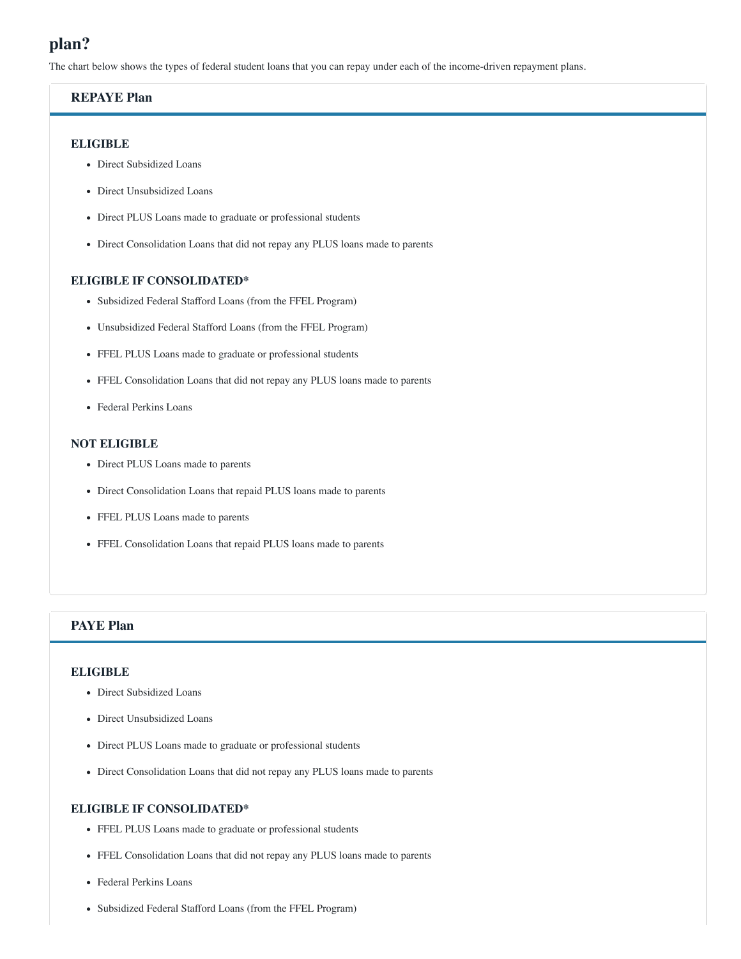# **plan?**

The chart below shows the types of federal student loans that you can repay under each of the income-driven repayment plans.

### **REPAYE Plan**

#### **ELIGIBLE**

- Direct Subsidized Loans
- Direct Unsubsidized Loans
- Direct PLUS Loans made to graduate or professional students
- Direct Consolidation Loans that did not repay any PLUS loans made to parents

#### **ELIGIBLE IF CONSOLIDATED\***

- Subsidized Federal Stafford Loans (from the FFEL Program)
- Unsubsidized Federal Stafford Loans (from the FFEL Program)
- FFEL PLUS Loans made to graduate or professional students
- FFEL Consolidation Loans that did not repay any PLUS loans made to parents
- Federal Perkins Loans

#### **NOT ELIGIBLE**

- Direct PLUS Loans made to parents
- Direct Consolidation Loans that repaid PLUS loans made to parents
- FFEL PLUS Loans made to parents
- FFEL Consolidation Loans that repaid PLUS loans made to parents

### **PAYE Plan**

#### **ELIGIBLE**

- Direct Subsidized Loans
- Direct Unsubsidized Loans
- Direct PLUS Loans made to graduate or professional students
- Direct Consolidation Loans that did not repay any PLUS loans made to parents

### **ELIGIBLE IF CONSOLIDATED\***

- FFEL PLUS Loans made to graduate or professional students
- FFEL Consolidation Loans that did not repay any PLUS loans made to parents
- Federal Perkins Loans
- Subsidized Federal Stafford Loans (from the FFEL Program)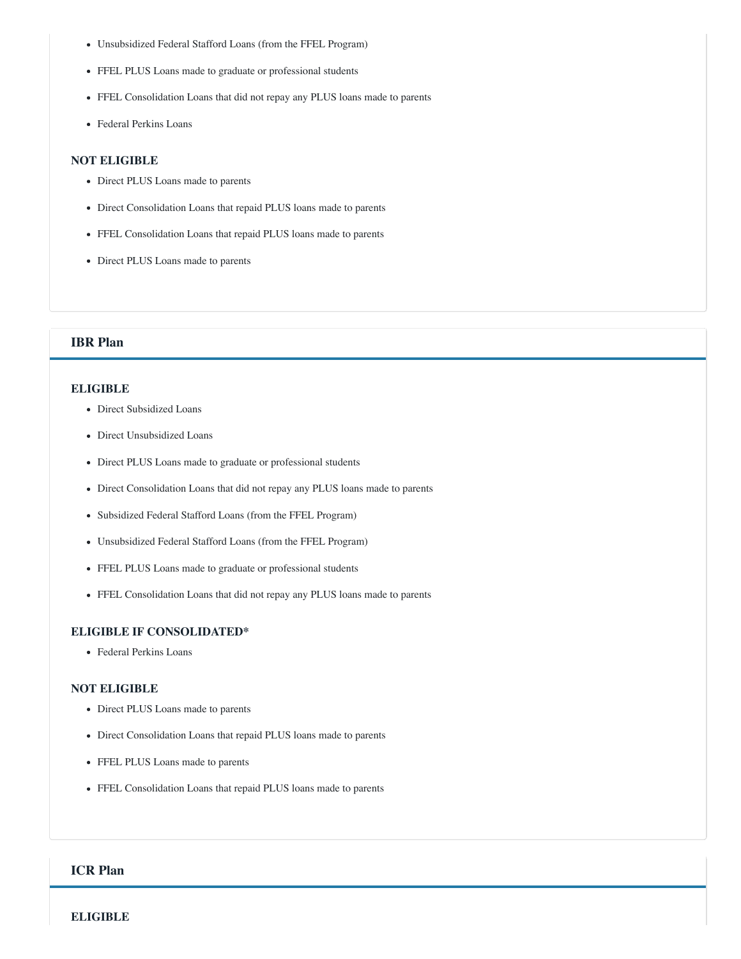- Unsubsidized Federal Stafford Loans (from the FFEL Program)
- FFEL PLUS Loans made to graduate or professional students
- FFEL Consolidation Loans that did not repay any PLUS loans made to parents
- Federal Perkins Loans

#### **NOT ELIGIBLE**

- Direct PLUS Loans made to parents
- Direct Consolidation Loans that repaid PLUS loans made to parents
- FFEL Consolidation Loans that repaid PLUS loans made to parents
- Direct PLUS Loans made to parents

#### **IBR Plan**

#### **ELIGIBLE**

- Direct Subsidized Loans
- Direct Unsubsidized Loans
- Direct PLUS Loans made to graduate or professional students
- Direct Consolidation Loans that did not repay any PLUS loans made to parents
- Subsidized Federal Stafford Loans (from the FFEL Program)
- Unsubsidized Federal Stafford Loans (from the FFEL Program)
- FFEL PLUS Loans made to graduate or professional students
- FFEL Consolidation Loans that did not repay any PLUS loans made to parents

#### **ELIGIBLE IF CONSOLIDATED\***

Federal Perkins Loans

#### **NOT ELIGIBLE**

- Direct PLUS Loans made to parents
- Direct Consolidation Loans that repaid PLUS loans made to parents
- FFEL PLUS Loans made to parents
- FFEL Consolidation Loans that repaid PLUS loans made to parents

### **ICR Plan**

**ELIGIBLE**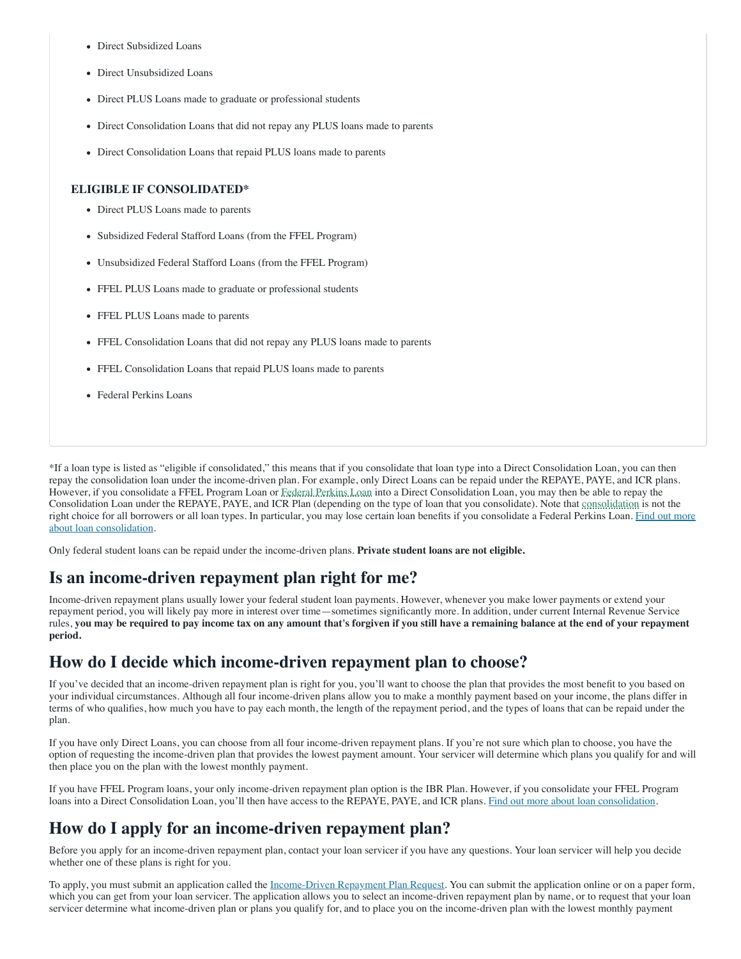- Direct Subsidized Loans
- Direct Unsubsidized Loans
- Direct PLUS Loans made to graduate or professional students
- Direct Consolidation Loans that did not repay any PLUS loans made to parents
- Direct Consolidation Loans that repaid PLUS loans made to parents

#### **ELIGIBLE IF CONSOLIDATED\***

- Direct PLUS Loans made to parents
- Subsidized Federal Stafford Loans (from the FFEL Program)
- Unsubsidized Federal Stafford Loans (from the FFEL Program)
- FFEL PLUS Loans made to graduate or professional students
- FFEL PLUS Loans made to parents
- FFEL Consolidation Loans that did not repay any PLUS loans made to parents
- FFEL Consolidation Loans that repaid PLUS loans made to parents
- Federal Perkins Loans

\*If a loan type is listed as "eligible if consolidated," this means that if you consolidate that loan type into a Direct Consolidation Loan, you can then repay the consolidation loan under the income-driven plan. For example, only Direct Loans can be repaid under the REPAYE, PAYE, and ICR plans. However, if you consolidate a FFEL Program Loan or [Federal Perkins Loan](javascript:void(0)) into a Direct Consolidation Loan, you may then be able to repay the Consolidation Loan under the REPAYE, PAYE, and ICR Plan (depending on the type of loan that you consolidate). Note that [consolidation](javascript:void(0)) is not the [right choice for all borrowers or all loan types. In particular, you may lose certain loan benefits if you consolidate a Federal Perkins Loan.](https://studentaid.gov/app/launchConsolidation.action) Find out more about loan consolidation.

Only federal student loans can be repaid under the income-driven plans. **Private student loans are not eligible.**

# **Is an income-driven repayment plan right for me?**

Income-driven repayment plans usually lower your federal student loan payments. However, whenever you make lower payments or extend your repayment period, you will likely pay more in interest over time—sometimes significantly more. In addition, under current Internal Revenue Service rules, **you may be required to pay income tax on any amount that's forgiven if you still have a remaining balance at the end of your repayment period.**

## **How do I decide which income-driven repayment plan to choose?**

If you've decided that an income-driven repayment plan is right for you, you'll want to choose the plan that provides the most benefit to you based on your individual circumstances. Although all four income-driven plans allow you to make a monthly payment based on your income, the plans differ in terms of who qualifies, how much you have to pay each month, the length of the repayment period, and the types of loans that can be repaid under the plan.

If you have only Direct Loans, you can choose from all four income-driven repayment plans. If you're not sure which plan to choose, you have the option of requesting the income-driven plan that provides the lowest payment amount. Your servicer will determine which plans you qualify for and will then place you on the plan with the lowest monthly payment.

If you have FFEL Program loans, your only income-driven repayment plan option is the IBR Plan. However, if you consolidate your FFEL Program loans into a Direct Consolidation Loan, you'll then have access to the REPAYE, PAYE, and ICR plans. [Find out more about loan consolidation.](https://studentaid.gov/app/launchConsolidation.action)

# **How do I apply for an income-driven repayment plan?**

Before you apply for an income-driven repayment plan, contact your loan servicer if you have any questions. Your loan servicer will help you decide whether one of these plans is right for you.

To apply, you must submit an application called the [Income-Driven Repayment Plan Request](https://studentaid.gov/app/ibrInstructions.action). You can submit the application online or on a paper form, which you can get from your loan servicer. The application allows you to select an income-driven repayment plan by name, or to request that your loan servicer determine what income-driven plan or plans you qualify for, and to place you on the income-driven plan with the lowest monthly payment